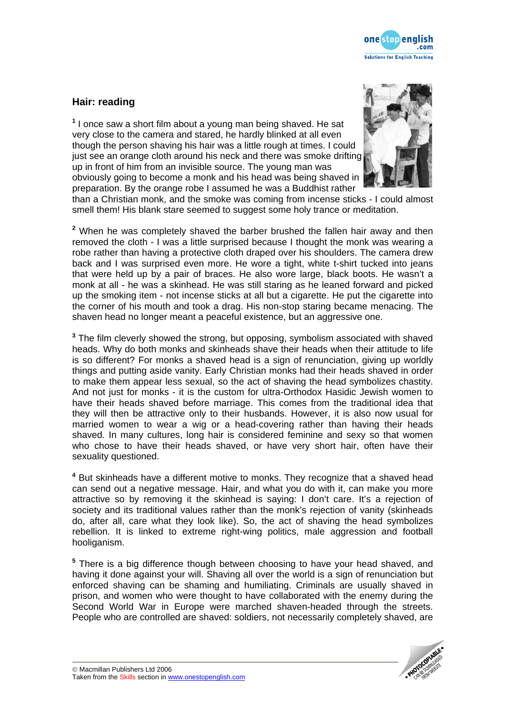

## **Hair: reading**

**<sup>1</sup>** I once saw a short film about a young man being shaved. He sat very close to the camera and stared, he hardly blinked at all even though the person shaving his hair was a little rough at times. I could just see an orange cloth around his neck and there was smoke drifting up in front of him from an invisible source. The young man was obviously going to become a monk and his head was being shaved in preparation. By the orange robe I assumed he was a Buddhist rather



than a Christian monk, and the smoke was coming from incense sticks - I could almost smell them! His blank stare seemed to suggest some holy trance or meditation.

**<sup>2</sup>** When he was completely shaved the barber brushed the fallen hair away and then removed the cloth - I was a little surprised because I thought the monk was wearing a robe rather than having a protective cloth draped over his shoulders. The camera drew back and I was surprised even more. He wore a tight, white t-shirt tucked into jeans that were held up by a pair of braces. He also wore large, black boots. He wasn't a monk at all - he was a skinhead. He was still staring as he leaned forward and picked up the smoking item - not incense sticks at all but a cigarette. He put the cigarette into the corner of his mouth and took a drag. His non-stop staring became menacing. The shaven head no longer meant a peaceful existence, but an aggressive one.

**<sup>3</sup>** The film cleverly showed the strong, but opposing, symbolism associated with shaved heads. Why do both monks and skinheads shave their heads when their attitude to life is so different? For monks a shaved head is a sign of renunciation, giving up worldly things and putting aside vanity. Early Christian monks had their heads shaved in order to make them appear less sexual, so the act of shaving the head symbolizes chastity. And not just for monks - it is the custom for ultra-Orthodox Hasidic Jewish women to have their heads shaved before marriage. This comes from the traditional idea that they will then be attractive only to their husbands. However, it is also now usual for married women to wear a wig or a head-covering rather than having their heads shaved. In many cultures, long hair is considered feminine and sexy so that women who chose to have their heads shaved, or have very short hair, often have their sexuality questioned.

**<sup>4</sup>** But skinheads have a different motive to monks. They recognize that a shaved head can send out a negative message. Hair, and what you do with it, can make you more attractive so by removing it the skinhead is saying: I don't care. It's a rejection of society and its traditional values rather than the monk's rejection of vanity (skinheads do, after all, care what they look like). So, the act of shaving the head symbolizes rebellion. It is linked to extreme right-wing politics, male aggression and football hooliganism.

**<sup>5</sup>** There is a big difference though between choosing to have your head shaved, and having it done against your will. Shaving all over the world is a sign of renunciation but enforced shaving can be shaming and humiliating. Criminals are usually shaved in prison, and women who were thought to have collaborated with the enemy during the Second World War in Europe were marched shaven-headed through the streets. People who are controlled are shaved: soldiers, not necessarily completely shaved, are